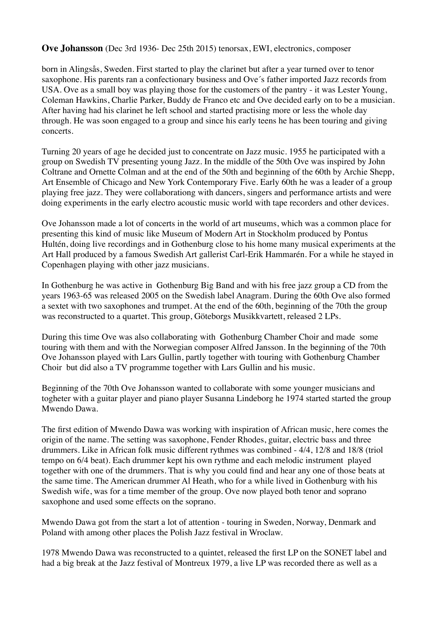## **Ove Johansson** (Dec 3rd 1936- Dec 25th 2015) tenorsax, EWI, electronics, composer

born in Alingsås, Sweden. First started to play the clarinet but after a year turned over to tenor saxophone. His parents ran a confectionary business and Ove´s father imported Jazz records from USA. Ove as a small boy was playing those for the customers of the pantry - it was Lester Young, Coleman Hawkins, Charlie Parker, Buddy de Franco etc and Ove decided early on to be a musician. After having had his clarinet he left school and started practising more or less the whole day through. He was soon engaged to a group and since his early teens he has been touring and giving concerts.

Turning 20 years of age he decided just to concentrate on Jazz music. 1955 he participated with a group on Swedish TV presenting young Jazz. In the middle of the 50th Ove was inspired by John Coltrane and Ornette Colman and at the end of the 50th and beginning of the 60th by Archie Shepp, Art Ensemble of Chicago and New York Contemporary Five. Early 60th he was a leader of a group playing free jazz. They were collaborationg with dancers, singers and performance artists and were doing experiments in the early electro acoustic music world with tape recorders and other devices.

Ove Johansson made a lot of concerts in the world of art museums, which was a common place for presenting this kind of music like Museum of Modern Art in Stockholm produced by Pontus Hultén, doing live recordings and in Gothenburg close to his home many musical experiments at the Art Hall produced by a famous Swedish Art gallerist Carl-Erik Hammarén. For a while he stayed in Copenhagen playing with other jazz musicians.

In Gothenburg he was active in Gothenburg Big Band and with his free jazz group a CD from the years 1963-65 was released 2005 on the Swedish label Anagram. During the 60th Ove also formed a sextet with two saxophones and trumpet. At the end of the 60th, beginning of the 70th the group was reconstructed to a quartet. This group, Göteborgs Musikkvartett, released 2 LPs.

During this time Ove was also collaborating with Gothenburg Chamber Choir and made some touring with them and with the Norwegian composer Alfred Jansson. In the beginning of the 70th Ove Johansson played with Lars Gullin, partly together with touring with Gothenburg Chamber Choir but did also a TV programme together with Lars Gullin and his music.

Beginning of the 70th Ove Johansson wanted to collaborate with some younger musicians and togheter with a guitar player and piano player Susanna Lindeborg he 1974 started started the group Mwendo Dawa.

The first edition of Mwendo Dawa was working with inspiration of African music, here comes the origin of the name. The setting was saxophone, Fender Rhodes, guitar, electric bass and three drummers. Like in African folk music different rythmes was combined - 4/4, 12/8 and 18/8 (triol tempo on 6/4 beat). Each drummer kept his own rythme and each melodic instrument played together with one of the drummers. That is why you could find and hear any one of those beats at the same time. The American drummer Al Heath, who for a while lived in Gothenburg with his Swedish wife, was for a time member of the group. Ove now played both tenor and soprano saxophone and used some effects on the soprano.

Mwendo Dawa got from the start a lot of attention - touring in Sweden, Norway, Denmark and Poland with among other places the Polish Jazz festival in Wroclaw.

1978 Mwendo Dawa was reconstructed to a quintet, released the first LP on the SONET label and had a big break at the Jazz festival of Montreux 1979, a live LP was recorded there as well as a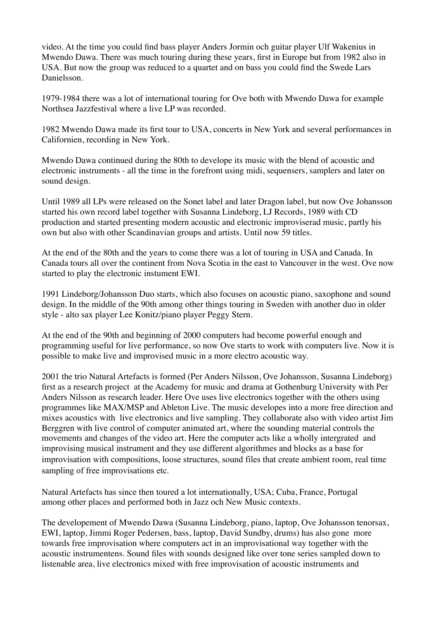video. At the time you could find bass player Anders Jormin och guitar player Ulf Wakenius in Mwendo Dawa. There was much touring during these years, first in Europe but from 1982 also in USA. But now the group was reduced to a quartet and on bass you could find the Swede Lars Danielsson.

1979-1984 there was a lot of international touring for Ove both with Mwendo Dawa for example Northsea Jazzfestival where a live LP was recorded.

1982 Mwendo Dawa made its first tour to USA, concerts in New York and several performances in Californien, recording in New York.

Mwendo Dawa continued during the 80th to develope its music with the blend of acoustic and electronic instruments - all the time in the forefront using midi, sequensers, samplers and later on sound design.

Until 1989 all LPs were released on the Sonet label and later Dragon label, but now Ove Johansson started his own record label together with Susanna Lindeborg, LJ Records, 1989 with CD production and started presenting modern acoustic and electronic improviserad music, partly his own but also with other Scandinavian groups and artists. Until now 59 titles.

At the end of the 80th and the years to come there was a lot of touring in USA and Canada. In Canada tours all over the continent from Nova Scotia in the east to Vancouver in the west. Ove now started to play the electronic instument EWI.

1991 Lindeborg/Johansson Duo starts, which also focuses on acoustic piano, saxophone and sound design. In the middle of the 90th among other things touring in Sweden with another duo in older style - alto sax player Lee Konitz/piano player Peggy Stern.

At the end of the 90th and beginning of 2000 computers had become powerful enough and programming useful for live performance, so now Ove starts to work with computers live. Now it is possible to make live and improvised music in a more electro acoustic way.

2001 the trio Natural Artefacts is formed (Per Anders Nilsson, Ove Johansson, Susanna Lindeborg) first as a research project at the Academy for music and drama at Gothenburg University with Per Anders Nilsson as research leader. Here Ove uses live electronics together with the others using programmes like MAX/MSP and Ableton Live. The music developes into a more free direction and mixes acoustics with live electronics and live sampling. They collaborate also with video artist Jim Berggren with live control of computer animated art, where the sounding material controls the movements and changes of the video art. Here the computer acts like a wholly intergrated and improvising musical instrument and they use different algorithmes and blocks as a base for improvisation with compositions, loose structures, sound files that create ambient room, real time sampling of free improvisations etc.

Natural Artefacts has since then toured a lot internationally, USA; Cuba, France, Portugal among other places and performed both in Jazz och New Music contexts.

The developement of Mwendo Dawa (Susanna Lindeborg, piano, laptop, Ove Johansson tenorsax, EWI, laptop, Jimmi Roger Pedersen, bass, laptop, David Sundby, drums) has also gone more towards free improvisation where computers act in an improvisational way together with the acoustic instrumentens. Sound files with sounds designed like over tone series sampled down to listenable area, live electronics mixed with free improvisation of acoustic instruments and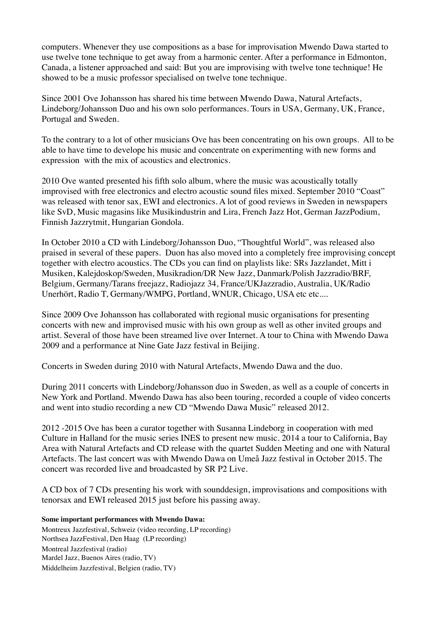computers. Whenever they use compositions as a base for improvisation Mwendo Dawa started to use twelve tone technique to get away from a harmonic center. After a performance in Edmonton, Canada, a listener approached and said: But you are improvising with twelve tone technique! He showed to be a music professor specialised on twelve tone technique.

Since 2001 Ove Johansson has shared his time between Mwendo Dawa, Natural Artefacts, Lindeborg/Johansson Duo and his own solo performances. Tours in USA, Germany, UK, France, Portugal and Sweden.

To the contrary to a lot of other musicians Ove has been concentrating on his own groups. All to be able to have time to develope his music and concentrate on experimenting with new forms and expression with the mix of acoustics and electronics.

2010 Ove wanted presented his fifth solo album, where the music was acoustically totally improvised with free electronics and electro acoustic sound files mixed. September 2010 "Coast" was released with tenor sax, EWI and electronics. A lot of good reviews in Sweden in newspapers like SvD, Music magasins like Musikindustrin and Lira, French Jazz Hot, German JazzPodium, Finnish Jazzrytmit, Hungarian Gondola.

In October 2010 a CD with Lindeborg/Johansson Duo, "Thoughtful World", was released also praised in several of these papers. Duon has also moved into a completely free improvising concept together with electro acoustics. The CDs you can find on playlists like: SRs Jazzlandet, Mitt i Musiken, Kalejdoskop/Sweden, Musikradion/DR New Jazz, Danmark/Polish Jazzradio/BRF, Belgium, Germany/Tarans freejazz, Radiojazz 34, France/UKJazzradio, Australia, UK/Radio Unerhört, Radio T, Germany/WMPG, Portland, WNUR, Chicago, USA etc etc....

Since 2009 Ove Johansson has collaborated with regional music organisations for presenting concerts with new and improvised music with his own group as well as other invited groups and artist. Several of those have been streamed live over Internet. A tour to China with Mwendo Dawa 2009 and a performance at Nine Gate Jazz festival in Beijing.

Concerts in Sweden during 2010 with Natural Artefacts, Mwendo Dawa and the duo.

During 2011 concerts with Lindeborg/Johansson duo in Sweden, as well as a couple of concerts in New York and Portland. Mwendo Dawa has also been touring, recorded a couple of video concerts and went into studio recording a new CD "Mwendo Dawa Music" released 2012.

2012 -2015 Ove has been a curator together with Susanna Lindeborg in cooperation with med Culture in Halland for the music series INES to present new music. 2014 a tour to California, Bay Area with Natural Artefacts and CD release with the quartet Sudden Meeting and one with Natural Artefacts. The last concert was with Mwendo Dawa on Umeå Jazz festival in October 2015. The concert was recorded live and broadcasted by SR P2 Live.

A CD box of 7 CDs presenting his work with sounddesign, improvisations and compositions with tenorsax and EWI released 2015 just before his passing away.

## **Some important performances with Mwendo Dawa:**

Montreux Jazzfestival, Schweiz (video recording, LP recording) Northsea JazzFestival, Den Haag (LP recording) Montreal Jazzfestival (radio) Mardel Jazz, Buenos Aires (radio, TV) Middelheim Jazzfestival, Belgien (radio, TV)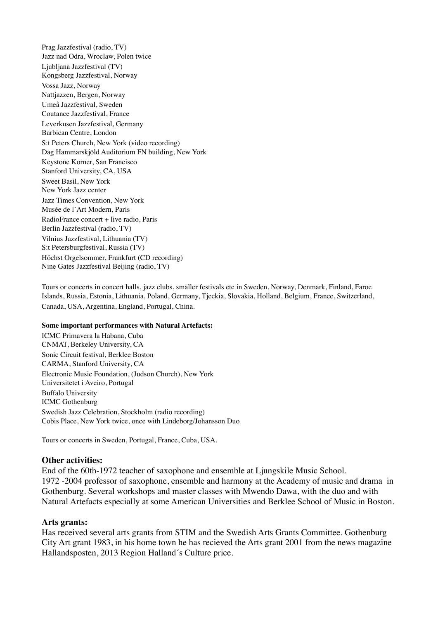Prag Jazzfestival (radio, TV) Jazz nad Odra, Wroclaw, Polen twice Ljubljana Jazzfestival (TV) Kongsberg Jazzfestival, Norway Vossa Jazz, Norway Nattjazzen, Bergen, Norway Umeå Jazzfestival, Sweden Coutance Jazzfestival, France Leverkusen Jazzfestival, Germany Barbican Centre, London S:t Peters Church, New York (video recording) Dag Hammarskjöld Auditorium FN building, New York Keystone Korner, San Francisco Stanford University, CA, USA Sweet Basil, New York New York Jazz center Jazz Times Convention, New York Musée de l´Art Modern, Paris RadioFrance concert + live radio, Paris Berlin Jazzfestival (radio, TV) Vilnius Jazzfestival, Lithuania (TV) S:t Petersburgfestival, Russia (TV) Höchst Orgelsommer, Frankfurt (CD recording) Nine Gates Jazzfestival Beijing (radio, TV)

Tours or concerts in concert halls, jazz clubs, smaller festivals etc in Sweden, Norway, Denmark, Finland, Faroe Islands, Russia, Estonia, Lithuania, Poland, Germany, Tjeckia, Slovakia, Holland, Belgium, France, Switzerland, Canada, USA, Argentina, England, Portugal, China.

#### **Some important performances with Natural Artefacts:**

ICMC Primavera la Habana, Cuba CNMAT, Berkeley University, CA Sonic Circuit festival, Berklee Boston CARMA, Stanford University, CA Electronic Music Foundation, (Judson Church), New York Universitetet i Aveiro, Portugal Buffalo University ICMC Gothenburg Swedish Jazz Celebration, Stockholm (radio recording) Cobis Place, New York twice, once with Lindeborg/Johansson Duo

Tours or concerts in Sweden, Portugal, France, Cuba, USA.

#### **Other activities:**

End of the 60th-1972 teacher of saxophone and ensemble at Ljungskile Music School. 1972 -2004 professor of saxophone, ensemble and harmony at the Academy of music and drama in Gothenburg. Several workshops and master classes with Mwendo Dawa, with the duo and with Natural Artefacts especially at some American Universities and Berklee School of Music in Boston.

#### **Arts grants:**

Has received several arts grants from STIM and the Swedish Arts Grants Committee. Gothenburg City Art grant 1983, in his home town he has recieved the Arts grant 2001 from the news magazine Hallandsposten, 2013 Region Halland´s Culture price.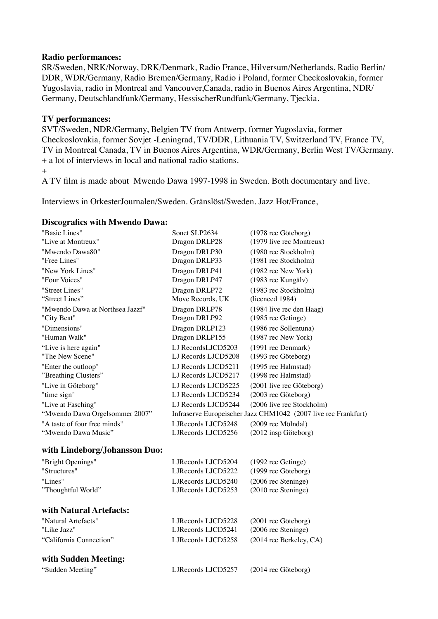## **Radio performances:**

SR/Sweden, NRK/Norway, DRK/Denmark, Radio France, Hilversum/Netherlands, Radio Berlin/ DDR, WDR/Germany, Radio Bremen/Germany, Radio i Poland, former Checkoslovakia, former Yugoslavia, radio in Montreal and Vancouver,Canada, radio in Buenos Aires Argentina, NDR/ Germany, Deutschlandfunk/Germany, HessischerRundfunk/Germany, Tjeckia.

## **TV performances:**

SVT/Sweden, NDR/Germany, Belgien TV from Antwerp, former Yugoslavia, former Checkoslovakia, former Sovjet -Leningrad, TV/DDR, Lithuania TV, Switzerland TV, France TV, TV in Montreal Canada, TV in Buenos Aires Argentina, WDR/Germany, Berlin West TV/Germany. + a lot of interviews in local and national radio stations.

+

A TV film is made about Mwendo Dawa 1997-1998 in Sweden. Both documentary and live.

Interviews in OrkesterJournalen/Sweden. Gränslöst/Sweden. Jazz Hot/France,

#### **Discografics with Mwendo Dawa:**

| "Basic Lines"                   | Sonet SLP2634                                                  | (1978 rec Göteborg)       |
|---------------------------------|----------------------------------------------------------------|---------------------------|
| "Live at Montreux"              | Dragon DRLP28                                                  | (1979 live rec Montreux)  |
| "Mwendo Dawa80"                 | Dragon DRLP30                                                  | (1980 rec Stockholm)      |
| "Free Lines"                    | Dragon DRLP33                                                  | (1981 rec Stockholm)      |
| "New York Lines"                | Dragon DRLP41                                                  | (1982 rec New York)       |
| "Four Voices"                   | Dragon DRLP47                                                  | (1983 rec Kungälv)        |
| "Street Lines"                  | Dragon DRLP72                                                  | (1983 rec Stockholm)      |
| "Street Lines"                  | Move Records, UK                                               | (licenced 1984)           |
| "Mwendo Dawa at Northsea Jazzf" | Dragon DRLP78                                                  | (1984 live rec den Haag)  |
| "City Beat"                     | Dragon DRLP92                                                  | (1985 rec Getinge)        |
| "Dimensions"                    | Dragon DRLP123                                                 | (1986 rec Sollentuna)     |
| "Human Walk"                    | Dragon DRLP155                                                 | (1987 rec New York)       |
| "Live is here again"            | LJ RecordsLJCD5203                                             | (1991 rec Denmark)        |
| "The New Scene"                 | LJ Records LJCD5208                                            | (1993 rec Göteborg)       |
| "Enter the outloop"             | LJ Records LJCD5211                                            | (1995 rec Halmstad)       |
| "Breathing Clusters"            | LJ Records LJCD5217                                            | (1998 rec Halmstad)       |
| "Live in Göteborg"              | LJ Records LJCD5225                                            | (2001 live rec Göteborg)  |
| "time sign"                     | LJ Records LJCD5234                                            | (2003 rec Göteborg)       |
| "Live at Fasching"              | LJ Records LJCD5244                                            | (2006 live rec Stockholm) |
| "Mwendo Dawa Orgelsommer 2007"  | Infraserve Europeischer Jazz CHM1042 (2007 live rec Frankfurt) |                           |
| "A taste of four free minds"    | LJRecords LJCD5248                                             | (2009 rec Mölndal)        |
| "Mwendo Dawa Music"             | LJRecords LJCD5256                                             | (2012 insp Göteborg)      |
| with Lindeborg/Johansson Duo:   |                                                                |                           |
| "Bright Openings"               | LJRecords LJCD5204                                             | (1992 rec Getinge)        |
| "Structures"                    | LJRecords LJCD5222                                             | (1999 rec Göteborg)       |
| "Lines"                         | LJRecords LJCD5240                                             | (2006 rec Steninge)       |
| "Thoughtful World"              | LJRecords LJCD5253                                             | (2010 rec Steninge)       |
| with Natural Artefacts:         |                                                                |                           |
| "Natural Artefacts"             | LJRecords LJCD5228                                             | (2001 rec Göteborg)       |
| "Like Jazz"                     | LJRecords LJCD5241                                             | (2006 rec Steninge)       |
| "California Connection"         | LJRecords LJCD5258                                             | (2014 rec Berkeley, CA)   |
| with Sudden Meeting:            |                                                                |                           |
| "Sudden Meeting"                | LJRecords LJCD5257                                             | (2014 rec Göteborg)       |
|                                 |                                                                |                           |